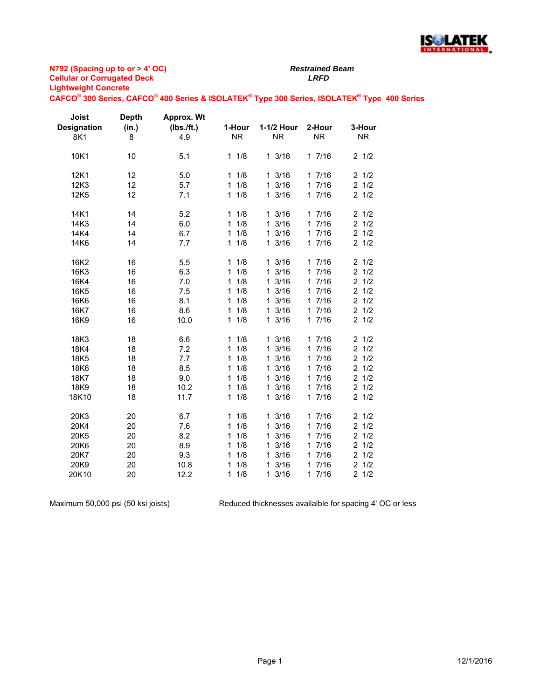

*Restrained Beam*

**CAFCO® 300 Series, CAFCO® 400 Series & ISOLATEK® Type 300 Series, ISOLATEK® Type 400 Series**

| Joist<br><b>Designation</b> | <b>Depth</b><br>(in.) | <b>Approx. Wt</b><br>(Ibs./ft.) | 1-Hour              | 1-1/2 Hour | 2-Hour    | 3-Hour                |
|-----------------------------|-----------------------|---------------------------------|---------------------|------------|-----------|-----------------------|
| 8K1                         | 8                     | 4.9                             | <b>NR</b>           | <b>NR</b>  | <b>NR</b> | <b>NR</b>             |
| 10K1                        | 10                    | 5.1                             | 11/8                | 13/16      | 17/16     | $2 \frac{1}{2}$       |
| 12K1                        | 12                    | 5.0                             | 11/8                | 13/16      | 17/16     | 21/2                  |
| 12K3                        | 12                    | 5.7                             | $\mathbf{1}$<br>1/8 | 13/16      | 17/16     | $2 \frac{1}{2}$       |
| 12K5                        | 12                    | 7.1                             | 1/8<br>$\mathbf{1}$ | 13/16      | 17/16     | $2 \frac{1}{2}$       |
| 14K1                        | 14                    | 5.2                             | 1/8<br>$\mathbf{1}$ | 13/16      | 17/16     | 21/2                  |
| 14K3                        | 14                    | 6.0                             | 1/8<br>1            | 13/16      | 17/16     | $2 \frac{1}{2}$       |
| 14K4                        | 14                    | 6.7                             | $\mathbf{1}$<br>1/8 | 13/16      | 17/16     | $2 \frac{1}{2}$       |
| 14K6                        | 14                    | 7.7                             | 1/8<br>$\mathbf{1}$ | 13/16      | 17/16     | 21/2                  |
| 16K2                        | 16                    | 5.5                             | 1/8<br>$\mathbf{1}$ | 13/16      | 17/16     | 21/2                  |
| 16K3                        | 16                    | 6.3                             | 1<br>1/8            | 13/16      | 17/16     | 1/2<br>$\overline{2}$ |
| 16K4                        | 16                    | 7.0                             | 1/8<br>1            | 13/16      | 17/16     | $\overline{2}$<br>1/2 |
| 16K5                        | 16                    | 7.5                             | 1/8<br>1            | 13/16      | 17/16     | 2<br>1/2              |
| 16K6                        | 16                    | 8.1                             | 1/8<br>1            | 13/16      | 17/16     | $\overline{c}$<br>1/2 |
| 16K7                        | 16                    | 8.6                             | 1/8<br>1            | 13/16      | 17/16     | 2<br>1/2              |
| 16K9                        | 16                    | 10.0                            | 1/8<br>$\mathbf{1}$ | 13/16      | 17/16     | 21/2                  |
| 18K3                        | 18                    | 6.6                             | $\mathbf{1}$<br>1/8 | 13/16      | 17/16     | 21/2                  |
| 18K4                        | 18                    | 7.2                             | 1<br>1/8            | 13/16      | 17/16     | $\overline{c}$<br>1/2 |
| 18K5                        | 18                    | 7.7                             | 1/8<br>1            | 13/16      | 17/16     | $\overline{2}$<br>1/2 |
| 18K6                        | 18                    | 8.5                             | 1/8<br>1            | 13/16      | 17/16     | 2<br>1/2              |
| 18K7                        | 18                    | 9.0                             | 1/8<br>$\mathbf{1}$ | 13/16      | 17/16     | $\overline{2}$<br>1/2 |
| 18K9                        | 18                    | 10.2                            | 1/8<br>1            | 13/16      | 17/16     | $\overline{2}$<br>1/2 |
| 18K10                       | 18                    | 11.7                            | 1/8<br>$\mathbf{1}$ | 13/16      | 17/16     | 21/2                  |
| 20K3                        | 20                    | 6.7                             | 1/8<br>$\mathbf 1$  | 13/16      | 17/16     | $2 \frac{1}{2}$       |
| 20K4                        | 20                    | 7.6                             | 1/8<br>1            | 13/16      | 17/16     | 21/2                  |
| 20K5                        | 20                    | 8.2                             | 1/8<br>1            | 13/16      | 17/16     | $\overline{2}$<br>1/2 |
| 20K6                        | 20                    | 8.9                             | 1/8<br>$\mathbf{1}$ | 13/16      | 17/16     | 1/2<br>$\overline{2}$ |
| 20K7                        | 20                    | 9.3                             | 1/8<br>1            | 13/16      | 17/16     | 1/2<br>$\overline{2}$ |
| 20K9                        | 20                    | 10.8                            | 1/8<br>1            | 13/16      | 17/16     | 1/2<br>$\overline{2}$ |
| 20K10                       | 20                    | 12.2                            | 1/8<br>1            | 13/16      | 17/16     | $\overline{2}$<br>1/2 |

Maximum 50,000 psi (50 ksi joists)

Reduced thicknesses availalble for spacing 4' OC or less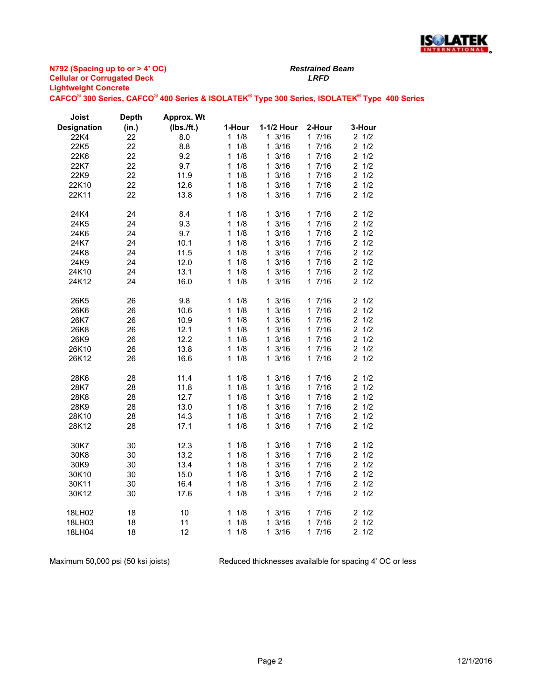

**N792 (Spacing up to or > 4' OC) Cellular or Corrugated Deck** *LRFD* **Lightweight Concrete CAFCO® 300 Series, CAFCO® 400 Series & ISOLATEK® Type 300 Series, ISOLATEK® Type 400 Series**

**Depth** 

**Approx. Wt** 

**Joist** 

*Restrained Beam*

| Designation      | (in.) | (Ibs./ft.) | 1-Hour              | 1-1/2 Hour       | 2-Hour | 3-Hour          |
|------------------|-------|------------|---------------------|------------------|--------|-----------------|
| 22K4             | 22    | 8.0        | $1 \t1/8$           | 13/16            | 17/16  | $2 \frac{1}{2}$ |
| 22K5             | 22    | 8.8        | 1/8<br>1            | 13/16            | 17/16  | $2 \frac{1}{2}$ |
| 22K6             | 22    | 9.2        | 1/8<br>1            | 13/16            | 17/16  | $2 \frac{1}{2}$ |
| 22K7             | 22    | 9.7        | 1/8<br>1            | 13/16            | 17/16  | $2 \frac{1}{2}$ |
| 22K9             | 22    | 11.9       | 1/8<br>$\mathbf{1}$ | $1 \frac{3}{16}$ | 17/16  | $2 \frac{1}{2}$ |
| 22K10            | 22    | 12.6       | 11/8                | $1 \frac{3}{16}$ | 17/16  | $2 \frac{1}{2}$ |
| 22K11            | 22    | 13.8       | $1 \t1/8$           | 13/16            | 17/16  | 21/2            |
|                  |       |            |                     |                  |        |                 |
| 24K4             | 24    | 8.4        | 1/8<br>1            | 13/16            | 17/16  | $2 \frac{1}{2}$ |
| 24K <sub>5</sub> | 24    | 9.3        | 1/8<br>$\mathbf{1}$ | $1 \frac{3}{16}$ | 17/16  | $2 \frac{1}{2}$ |
| 24K6             | 24    | 9.7        | 1/8<br>$\mathbf{1}$ | 13/16            | 17/16  | $2 \frac{1}{2}$ |
| 24K7             | 24    | 10.1       | 1/8<br>1            | 13/16            | 17/16  | 21/2            |
| 24K8             | 24    | 11.5       | 1/8<br>$\mathbf{1}$ | 13/16            | 17/16  | $2 \frac{1}{2}$ |
| 24K9             | 24    | 12.0       | 1/8<br>1            | $1 \frac{3}{16}$ | 17/16  | $2 \frac{1}{2}$ |
| 24K10            | 24    | 13.1       | 11/8                | $1 \frac{3}{16}$ | 17/16  | $2 \frac{1}{2}$ |
| 24K12            | 24    | 16.0       | 11/8                | 13/16            | 17/16  | 21/2            |
|                  |       |            |                     |                  |        |                 |
| 26K5             | 26    | 9.8        | 1/8<br>$\mathbf{1}$ | 13/16            | 17/16  | $2 \frac{1}{2}$ |
| 26K6             | 26    | 10.6       | 1/8<br>$\mathbf{1}$ | $1 \frac{3}{16}$ | 17/16  | $2 \frac{1}{2}$ |
| 26K7             | 26    | 10.9       | 1/8<br>1            | 13/16            | 17/16  | $2 \frac{1}{2}$ |
| 26K8             | 26    | 12.1       | 1/8<br>1            | 13/16            | 17/16  | $2 \frac{1}{2}$ |
| 26K9             | 26    | 12.2       | 1/8<br>$\mathbf{1}$ | $1 \frac{3}{16}$ | 17/16  | $2 \frac{1}{2}$ |
| 26K10            | 26    | 13.8       | 1/8<br>1            | $1 \frac{3}{16}$ | 17/16  | $2 \frac{1}{2}$ |
| 26K12            | 26    | 16.6       | 11/8                | 13/16            | 17/16  | $2 \frac{1}{2}$ |
|                  |       |            |                     |                  |        |                 |
| 28K6             | 28    | 11.4       | 1/8<br>1            | 13/16            | 17/16  | 21/2            |
| 28K7             | 28    | 11.8       | 1/8<br>$\mathbf{1}$ | $1 \frac{3}{16}$ | 17/16  | $2 \frac{1}{2}$ |
| 28K8             | 28    | 12.7       | 1/8<br>1            | 13/16            | 17/16  | $2 \frac{1}{2}$ |
| 28K9             | 28    | 13.0       | 1/8<br>$\mathbf{1}$ | 13/16            | 17/16  | $2 \frac{1}{2}$ |
| 28K10            | 28    | 14.3       | 1/8<br>1            | $1 \frac{3}{16}$ | 17/16  | $2 \frac{1}{2}$ |
| 28K12            | 28    | 17.1       | 1/8<br>$\mathbf{1}$ | 13/16            | 17/16  | $2 \frac{1}{2}$ |
|                  |       |            |                     |                  |        |                 |
| 30K7             | 30    | 12.3       | 11/8                | 13/16            | 17/16  | $2 \frac{1}{2}$ |
| 30K8             | 30    | 13.2       | 11/8                | $1 \frac{3}{16}$ | 17/16  | $2 \frac{1}{2}$ |
| 30K9             | 30    | 13.4       | 1/8<br>$\mathbf{1}$ | 13/16            | 17/16  | $2 \frac{1}{2}$ |
| 30K10            | 30    | 15.0       | 1/8<br>1            | 13/16            | 17/16  | $2 \frac{1}{2}$ |
| 30K11            | 30    | 16.4       | 1/8<br>$\mathbf{1}$ | 13/16            | 17/16  | $2 \frac{1}{2}$ |
| 30K12            | 30    | 17.6       | 11/8                | 13/16            | 17/16  | 21/2            |
|                  |       |            |                     |                  |        |                 |
| 18LH02           | 18    | 10         | 1/8<br>1            | 13/16            | 17/16  | 21/2            |
| 18LH03           | 18    | 11         | 11/8                | 13/16            | 17/16  | 21/2            |

18LH04 18 12 1 1/8 1 3/16 1 7/16 2 1/2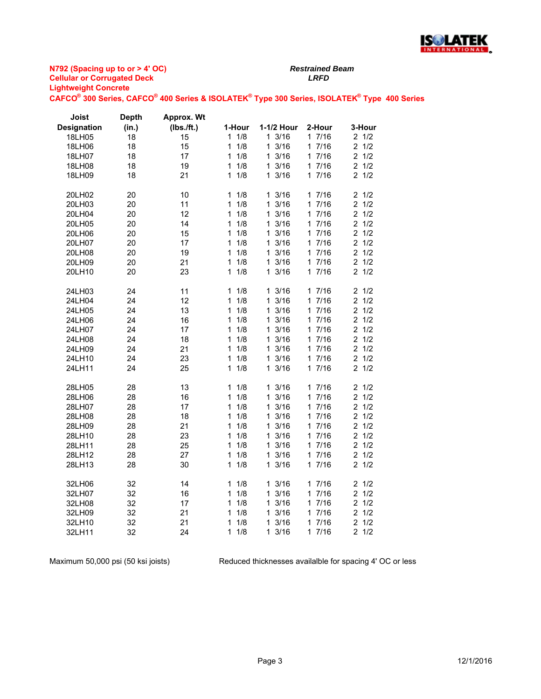

**CAFCO® 300 Series, CAFCO® 400 Series & ISOLATEK® Type 300 Series, ISOLATEK® Type 400 Series**

*Restrained Beam*

| Joist              | <b>Depth</b> | Approx. Wt |                     |                      |                      |                       |
|--------------------|--------------|------------|---------------------|----------------------|----------------------|-----------------------|
| <b>Designation</b> | (in.)        | (Ibs./ft.) | 1-Hour              | 1-1/2 Hour           | 2-Hour               | 3-Hour                |
| 18LH05             | 18           | 15         | 1/8<br>1            | 1 3/16               | 17/16                | 21/2                  |
| 18LH06             | 18           | 15         | 1/8<br>1            | 3/16<br>1            | 17/16                | 1/2<br>2              |
| 18LH07             | 18           | 17         | 1<br>1/8            | 1<br>3/16            | 17/16                | $\overline{2}$<br>1/2 |
| 18LH08             | 18           | 19         | 1/8<br>1            | 13/16                | 17/16                | 21/2                  |
| 18LH09             | 18           | 21         | 1/8<br>1            | 3/16<br>1.           | 17/16                | 21/2                  |
| 20LH02             | 20           | 10         | 1/8<br>1            | 13/16                | 17/16                | 21/2                  |
| 20LH03             | 20           | 11         | 1/8<br>1            | 3/16<br>1            | 17/16                | $\overline{2}$<br>1/2 |
| 20LH04             | 20           | 12         | 1/8<br>1            | 3/16<br>1            | 7/16<br>$\mathbf 1$  | $\overline{2}$<br>1/2 |
| 20LH05             | 20           | 14         | 1/8<br>1            | 3/16<br>1            | 17/16                | $\overline{2}$<br>1/2 |
| 20LH06             | 20           | 15         | 1<br>1/8            | 3/16<br>1.           | 17/16                | $\overline{2}$<br>1/2 |
| 20LH07             | 20           | 17         | 1/8<br>1            | 3/16<br>1.           | 17/16                | $\overline{2}$<br>1/2 |
| 20LH08             | 20           | 19         | 1/8<br>1            | 3/16<br>1            | 17/16                | $\overline{2}$<br>1/2 |
| 20LH09             | 20           | 21         | 1/8<br>1            | 1.<br>3/16           | 17/16                | $\overline{c}$<br>1/2 |
| 20LH10             | 20           | 23         | 1/8<br>1            | 3/16<br>1            | 17/16                | 21/2                  |
| 24LH03             | 24           | 11         | 1/8<br>$\mathbf 1$  | 1 3/16               | 17/16                | 21/2                  |
| 24LH04             | 24           | 12         | 1<br>1/8            | 3/16<br>1            | 17/16                | $\overline{c}$<br>1/2 |
| 24LH05             | 24           | 13         | 1<br>1/8            | 1<br>3/16            | 7/16<br>$\mathbf{1}$ | 1/2<br>$\overline{2}$ |
| 24LH06             | 24           | 16         | 1/8<br>1            | 3/16<br>$\mathbf 1$  | 17/16                | 1/2<br>$\overline{2}$ |
| 24LH07             | 24           | 17         | 1/8<br>1            | 3/16<br>1.           | 17/16                | $\overline{2}$<br>1/2 |
| 24LH08             | 24           | 18         | 1/8<br>1            | 1<br>3/16            | 17/16                | $\overline{2}$<br>1/2 |
| 24LH09             | 24           | 21         | 1/8<br>1            | 3/16<br>$\mathbf{1}$ | 17/16                | $\overline{2}$<br>1/2 |
| 24LH10             | 24           | 23         | 1/8<br>1            | 1<br>3/16            | 17/16                | $\overline{2}$<br>1/2 |
| 24LH11             | 24           | 25         | 1/8<br>1            | 3/16<br>1            | 17/16                | 21/2                  |
| 28LH05             | 28           | 13         | 1/8<br>1            | 13/16                | 17/16                | $\overline{c}$<br>1/2 |
| 28LH06             | 28           | 16         | $\mathbf{1}$<br>1/8 | 3/16<br>1            | 17/16                | $\overline{2}$<br>1/2 |
| 28LH07             | 28           | 17         | 1<br>1/8            | 1<br>3/16            | 7/16<br>$\mathbf 1$  | $\overline{2}$<br>1/2 |
| 28LH08             | 28           | 18         | 1/8<br>1            | 3/16<br>$\mathbf 1$  | 17/16                | 1/2<br>$\overline{2}$ |
| 28LH09             | 28           | 21         | 1/8<br>1            | 1 3/16               | 17/16                | $\overline{2}$<br>1/2 |
| 28LH10             | 28           | 23         | 1/8<br>1            | 3/16<br>1            | 17/16                | $\overline{2}$<br>1/2 |
| 28LH11             | 28           | 25         | 1/8<br>1            | 3/16<br>1            | 17/16                | $\overline{c}$<br>1/2 |
| 28LH12             | 28           | 27         | 1/8<br>1            | 1<br>3/16            | 17/16                | $\overline{c}$<br>1/2 |
| 28LH13             | 28           | 30         | 1<br>1/8            | 3/16<br>1            | 17/16                | 2<br>1/2              |
| 32LH06             | 32           | 14         | 1<br>1/8            | 1 3/16               | 17/16                | 21/2                  |
| 32LH07             | 32           | 16         | 1<br>1/8            | 3/16<br>1            | 17/16                | $\overline{c}$<br>1/2 |
| 32LH08             | 32           | 17         | 1<br>1/8            | 3/16<br>1            | 7/16<br>$\mathbf{1}$ | 1/2<br>$\overline{2}$ |
| 32LH09             | 32           | 21         | 1/8<br>1            | 3/16<br>$\mathbf 1$  | 17/16                | 1/2<br>$\overline{2}$ |
| 32LH10             | 32           | 21         | 1/8<br>1            | 3/16<br>1            | 17/16                | $\overline{2}$<br>1/2 |
| 32LH11             | 32           | 24         | 1/8<br>1            | 3/16<br>1            | 17/16                | 2<br>1/2              |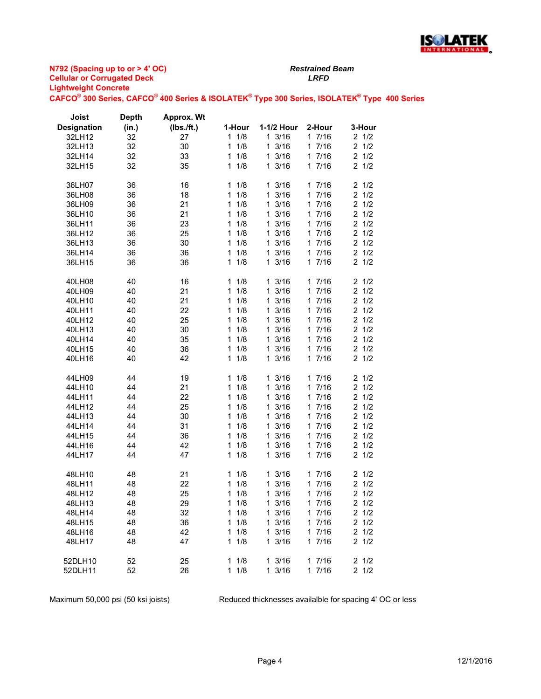

**CAFCO® 300 Series, CAFCO® 400 Series & ISOLATEK® Type 300 Series, ISOLATEK® Type 400 Series**

*Restrained Beam*

| Joist              | <b>Depth</b> | Approx. Wt |                     |                      |        |                       |
|--------------------|--------------|------------|---------------------|----------------------|--------|-----------------------|
| <b>Designation</b> | (in.)        | (Ibs./ft.) | 1-Hour              | 1-1/2 Hour           | 2-Hour | 3-Hour                |
| 32LH12             | 32           | 27         | 11/8                | 13/16                | 17/16  | $2 \frac{1}{2}$       |
| 32LH13             | 32           | 30         | $\mathbf{1}$<br>1/8 | 13/16                | 17/16  | 21/2                  |
| 32LH14             | 32           | 33         | 1/8<br>1            | 13/16                | 17/16  | $2 \frac{1}{2}$       |
| 32LH15             | 32           | 35         | 1/8<br>$\mathbf{1}$ | 3/16<br>$\mathbf{1}$ | 17/16  | $2 \frac{1}{2}$       |
|                    |              |            |                     |                      |        |                       |
| 36LH07             | 36           | 16         | 1/8<br>1            | 13/16                | 17/16  | 21/2                  |
| 36LH08             | 36           | 18         | 1/8<br>$\mathbf{1}$ | 13/16                | 17/16  | $2 \frac{1}{2}$       |
| 36LH09             | 36           | 21         | 1/8<br>1            | 13/16                | 17/16  | 21/2                  |
| 36LH10             | 36           | 21         | 1/8<br>1            | 13/16                | 17/16  | 21/2                  |
| 36LH11             | 36           | 23         | 1/8<br>$\mathbf{1}$ | 13/16                | 17/16  | 21/2                  |
| 36LH12             | 36           | 25         | 1/8<br>1            | 13/16                | 17/16  | $2 \frac{1}{2}$       |
| 36LH13             | 36           | 30         | 1/8<br>1            | 13/16                | 17/16  | $2 \frac{1}{2}$       |
|                    |              |            | $\mathbf{1}$        |                      |        | 21/2                  |
| 36LH14             | 36           | 36         | 1/8                 | 13/16                | 17/16  |                       |
| 36LH15             | 36           | 36         | 1/8<br>1            | 13/16                | 17/16  | $2 \frac{1}{2}$       |
| 40LH08             | 40           | 16         | 1/8<br>1            | 13/16                | 17/16  | $2 \frac{1}{2}$       |
| 40LH09             | 40           | 21         | $\mathbf{1}$<br>1/8 | 3/16<br>$\mathbf{1}$ | 17/16  | $2 \frac{1}{2}$       |
| 40LH10             | 40           | 21         | 1/8<br>1            | 13/16                | 17/16  | $2 \frac{1}{2}$       |
| 40LH11             | 40           | 22         | 1/8<br>1            | 13/16                | 1 7/16 | 21/2                  |
| 40LH12             | 40           | 25         | 1/8<br>1            | 13/16                | 17/16  | 21/2                  |
|                    |              |            | 1/8<br>$\mathbf{1}$ | 13/16                | 17/16  | $2 \frac{1}{2}$       |
| 40LH13             | 40           | 30         |                     |                      |        |                       |
| 40LH14             | 40           | 35         | 1/8<br>1            | 13/16                | 17/16  | $2 \frac{1}{2}$       |
| 40LH15             | 40           | 36         | 1/8<br>1            | 13/16                | 17/16  | $2 \frac{1}{2}$       |
| 40LH16             | 40           | 42         | 1/8<br>1            | 13/16                | 17/16  | 21/2                  |
| 44LH09             | 44           | 19         | 1/8<br>1.           | 13/16                | 17/16  | $2 \frac{1}{2}$       |
| 44LH10             | 44           | 21         | 1/8<br>$\mathbf{1}$ | 13/16                | 17/16  | 21/2                  |
|                    | 44           |            | $\mathbf{1}$        |                      | 17/16  | $2 \frac{1}{2}$       |
| 44LH11             |              | 22         | 1/8                 | 13/16                |        |                       |
| 44LH12             | 44           | 25         | 1/8<br>1            | 13/16                | 17/16  | $2 \frac{1}{2}$       |
| 44LH13             | 44           | 30         | 1/8<br>1            | 13/16                | 1 7/16 | $2 \frac{1}{2}$       |
| 44LH14             | 44           | 31         | 1/8<br>1            | 13/16                | 17/16  | 21/2                  |
| 44LH15             | 44           | 36         | 1/8<br>$\mathbf{1}$ | 13/16                | 17/16  | $2 \frac{1}{2}$       |
| 44LH16             | 44           | 42         | 1/8<br>1            | 13/16                | 17/16  | $2 \frac{1}{2}$       |
| 44LH17             | 44           | 47         | 1/8<br>1            | 13/16                | 17/16  | $2 \frac{1}{2}$       |
| 48LH10             | 48           | 21         | 11/8                | 13/16                | 17/16  | 21/2                  |
| 48LH11             | 48           | 22         | 1/8<br>1            | 13/16                | 17/16  | $2 \frac{1}{2}$       |
| 48LH12             | 48           | 25         | 1/8<br>$\mathbf{1}$ | 13/16                | 1 7/16 | 1/2<br>$\overline{2}$ |
| 48LH13             | 48           | 29         | 1/8<br>1            | 13/16                | 17/16  | $2 \frac{1}{2}$       |
| 48LH14             |              |            |                     |                      |        |                       |
|                    | 48           | 32         | $1 \t1/8$           | 13/16                | 17/16  | $2 \frac{1}{2}$       |
| 48LH15             | 48           | 36         | 11/8                | 13/16                | 17/16  | $2 \frac{1}{2}$       |
| 48LH16             | 48           | 42         | 1/8<br>$\mathbf{1}$ | 13/16                | 17/16  | $2 \frac{1}{2}$       |
| 48LH17             | 48           | 47         | 11/8                | 13/16                | 17/16  | $2 \frac{1}{2}$       |
| 52DLH10            | 52           | 25         | $1 \t1/8$           | 13/16                | 17/16  | $2 \frac{1}{2}$       |
| 52DLH11            | 52           | 26         | $1 \t1/8$           | 13/16                | 17/16  | $2 \frac{1}{2}$       |
|                    |              |            |                     |                      |        |                       |